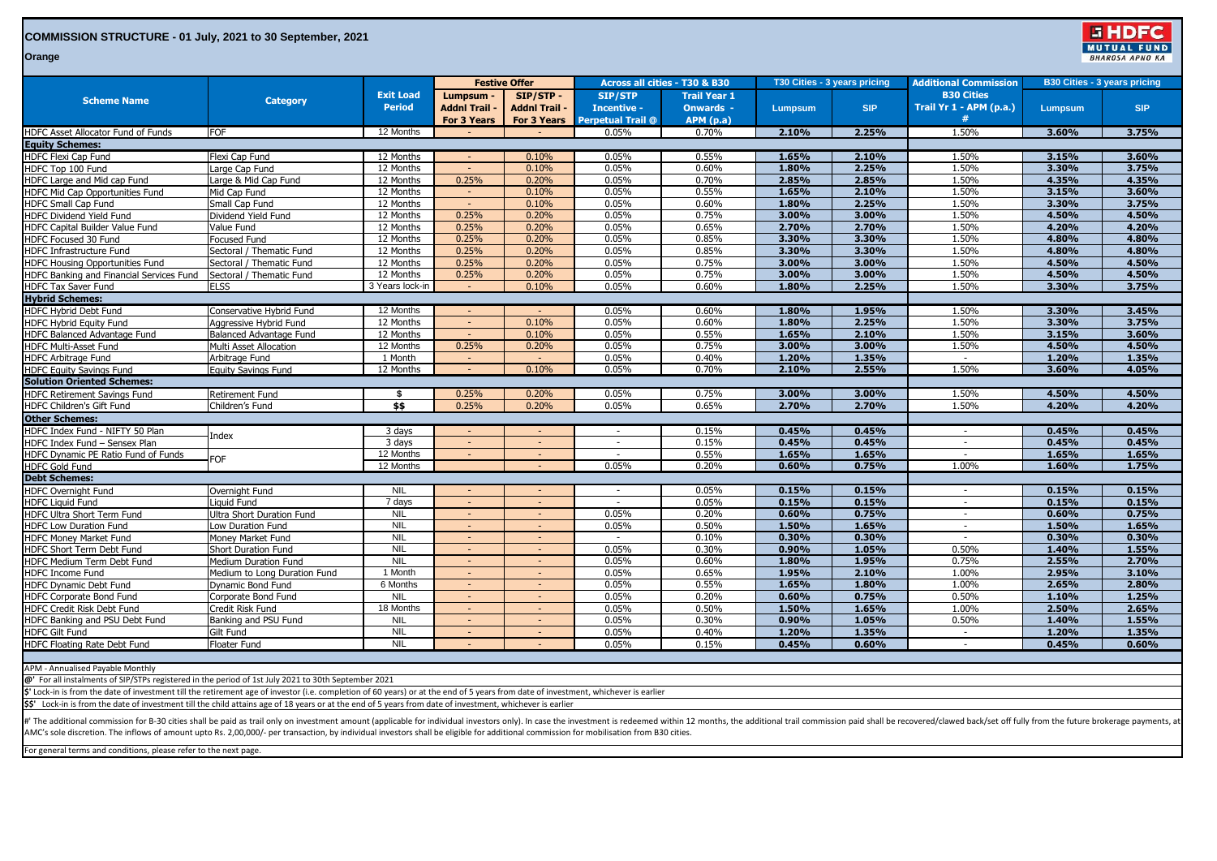## **COMMISSION STRUCTURE - 01 July, 2021 to 30 September, 2021**

国民 **MUTUAL FUND BHAROSA APNO KA** 

**Orange**

| <b>Scheme Name</b>                                                                                                                                                                                                                                                                                                                                                                                                        | <b>Category</b>                             | <b>Exit Load</b><br><b>Period</b> | <b>Festive Offer</b>              |                                  | Across all cities - T30 & B30        |                                         | T30 Cities - 3 years pricing |                | <b>Additional Commission</b>                 | <b>B30 Cities - 3 years pricing</b> |                |
|---------------------------------------------------------------------------------------------------------------------------------------------------------------------------------------------------------------------------------------------------------------------------------------------------------------------------------------------------------------------------------------------------------------------------|---------------------------------------------|-----------------------------------|-----------------------------------|----------------------------------|--------------------------------------|-----------------------------------------|------------------------------|----------------|----------------------------------------------|-------------------------------------|----------------|
|                                                                                                                                                                                                                                                                                                                                                                                                                           |                                             |                                   | Lumpsum -<br><b>Addnl Trail -</b> | SIP/STP-<br><b>Addnl Trail -</b> | <b>SIP/STP</b><br><b>Incentive -</b> | <b>Trail Year 1</b><br><b>Onwards -</b> | <b>Lumpsum</b>               | <b>SIP</b>     | <b>B30 Cities</b><br>Trail Yr 1 - APM (p.a.) | <b>Lumpsum</b>                      | <b>SIP</b>     |
| HDFC Asset Allocator Fund of Funds                                                                                                                                                                                                                                                                                                                                                                                        | <b>FOF</b>                                  | 12 Months                         | For 3 Years                       | For 3 Years                      | <b>Perpetual Trail @</b><br>0.05%    | <b>APM</b> (p.a)<br>0.70%               | 2.10%                        | 2.25%          | 1.50%                                        | 3.60%                               | 3.75%          |
| <b>Equity Schemes:</b>                                                                                                                                                                                                                                                                                                                                                                                                    |                                             |                                   |                                   |                                  |                                      |                                         |                              |                |                                              |                                     |                |
| <b>HDFC Flexi Cap Fund</b>                                                                                                                                                                                                                                                                                                                                                                                                |                                             | 12 Months                         |                                   | 0.10%                            | 0.05%                                | 0.55%                                   | 1.65%                        | 2.10%          | 1.50%                                        | 3.15%                               | 3.60%          |
|                                                                                                                                                                                                                                                                                                                                                                                                                           | Flexi Cap Fund                              | 12 Months                         | $\sim$                            | 0.10%                            | 0.05%                                | 0.60%                                   | 1.80%                        | 2.25%          | 1.50%                                        | 3.30%                               | 3.75%          |
| HDFC Top 100 Fund<br>HDFC Large and Mid cap Fund                                                                                                                                                                                                                                                                                                                                                                          | Large Cap Fund<br>Large & Mid Cap Fund      | 12 Months                         | 0.25%                             | 0.20%                            | 0.05%                                | 0.70%                                   | 2.85%                        | 2.85%          | 1.50%                                        | 4.35%                               | 4.35%          |
| HDFC Mid Cap Opportunities Fund                                                                                                                                                                                                                                                                                                                                                                                           | Mid Cap Fund                                | 12 Months                         |                                   | 0.10%                            | 0.05%                                | 0.55%                                   | 1.65%                        | 2.10%          | 1.50%                                        | 3.15%                               | 3.60%          |
| <b>HDFC Small Cap Fund</b>                                                                                                                                                                                                                                                                                                                                                                                                | Small Cap Fund                              | 12 Months                         | $\sim$                            | 0.10%                            | 0.05%                                | 0.60%                                   | 1.80%                        | 2.25%          | 1.50%                                        | 3.30%                               | 3.75%          |
| HDFC Dividend Yield Fund                                                                                                                                                                                                                                                                                                                                                                                                  | Dividend Yield Fund                         | 12 Months                         | 0.25%                             | 0.20%                            | 0.05%                                | 0.75%                                   | 3.00%                        | 3.00%          | 1.50%                                        | 4.50%                               | 4.50%          |
| HDFC Capital Builder Value Fund                                                                                                                                                                                                                                                                                                                                                                                           | Value Fund                                  | 12 Months                         | 0.25%                             | 0.20%                            | 0.05%                                | 0.65%                                   | 2.70%                        | 2.70%          | 1.50%                                        | 4.20%                               | 4.20%          |
| HDFC Focused 30 Fund                                                                                                                                                                                                                                                                                                                                                                                                      | <b>Focused Fund</b>                         | 12 Months                         | 0.25%                             | 0.20%                            | 0.05%                                | 0.85%                                   | 3.30%                        | 3.30%          | 1.50%                                        | 4.80%                               | 4.80%          |
| HDFC Infrastructure Fund                                                                                                                                                                                                                                                                                                                                                                                                  | Sectoral / Thematic Fund                    | 12 Months                         | 0.25%                             | 0.20%                            | 0.05%                                | 0.85%                                   | 3.30%                        | 3.30%          | 1.50%                                        | 4.80%                               | 4.80%          |
| <b>HDFC Housing Opportunities Fund</b>                                                                                                                                                                                                                                                                                                                                                                                    | Sectoral / Thematic Fund                    | 12 Months                         | 0.25%                             | 0.20%                            | 0.05%                                | 0.75%                                   | 3.00%                        | 3.00%          | 1.50%                                        | 4.50%                               | 4.50%          |
| HDFC Banking and Financial Services Fund                                                                                                                                                                                                                                                                                                                                                                                  | Sectoral / Thematic Fund                    | 12 Months                         | 0.25%                             | 0.20%                            | 0.05%                                | 0.75%                                   | 3.00%                        | 3.00%          | 1.50%                                        | 4.50%                               | 4.50%          |
| <b>HDFC Tax Saver Fund</b>                                                                                                                                                                                                                                                                                                                                                                                                | <b>ELSS</b>                                 | 3 Years lock-in                   |                                   | 0.10%                            | 0.05%                                | 0.60%                                   | 1.80%                        | 2.25%          | 1.50%                                        | 3.30%                               | 3.75%          |
| <b>Hybrid Schemes:</b>                                                                                                                                                                                                                                                                                                                                                                                                    |                                             |                                   |                                   |                                  |                                      |                                         |                              |                |                                              |                                     |                |
| HDFC Hybrid Debt Fund                                                                                                                                                                                                                                                                                                                                                                                                     | Conservative Hybrid Fund                    | 12 Months                         | $\sim$                            | $\sim$                           | 0.05%                                | 0.60%                                   | 1.80%                        | 1.95%          | 1.50%                                        | 3.30%                               | 3.45%          |
| HDFC Hybrid Equity Fund                                                                                                                                                                                                                                                                                                                                                                                                   | Aggressive Hybrid Fund                      | 12 Months                         |                                   | 0.10%                            | 0.05%                                | 0.60%                                   | 1.80%                        | 2.25%          | 1.50%                                        | 3.30%                               | 3.75%          |
| HDFC Balanced Advantage Fund                                                                                                                                                                                                                                                                                                                                                                                              | Balanced Advantage Fund                     | 12 Months                         | $\sim$                            | 0.10%                            | 0.05%                                | 0.55%                                   | 1.65%                        | 2.10%          | 1.50%                                        | 3.15%                               | 3.60%          |
| HDFC Multi-Asset Fund                                                                                                                                                                                                                                                                                                                                                                                                     | Multi Asset Allocation                      | 12 Months                         | 0.25%                             | 0.20%                            | 0.05%                                | 0.75%                                   | 3.00%                        | 3.00%          | 1.50%                                        | 4.50%                               | 4.50%          |
| <b>HDFC Arbitrage Fund</b>                                                                                                                                                                                                                                                                                                                                                                                                | Arbitrage Fund                              | 1 Month                           |                                   |                                  | 0.05%                                | 0.40%                                   | 1.20%                        | 1.35%          |                                              | 1.20%                               | 1.35%          |
| <b>HDFC Equity Savings Fund</b>                                                                                                                                                                                                                                                                                                                                                                                           | <b>Equity Savings Fund</b>                  | 12 Months                         | $\sim$                            | 0.10%                            | 0.05%                                | 0.70%                                   | 2.10%                        | 2.55%          | 1.50%                                        | 3.60%                               | 4.05%          |
| <b>Solution Oriented Schemes:</b>                                                                                                                                                                                                                                                                                                                                                                                         |                                             |                                   |                                   |                                  |                                      |                                         |                              |                |                                              |                                     |                |
| HDFC Retirement Savings Fund                                                                                                                                                                                                                                                                                                                                                                                              | <b>Retirement Fund</b>                      | \$                                | 0.25%                             | 0.20%                            | 0.05%                                | 0.75%                                   | 3.00%                        | 3.00%          | 1.50%                                        | 4.50%                               | 4.50%          |
|                                                                                                                                                                                                                                                                                                                                                                                                                           |                                             |                                   | 0.25%                             | 0.20%                            |                                      |                                         | 2.70%                        |                |                                              |                                     | 4.20%          |
| HDFC Children's Gift Fund                                                                                                                                                                                                                                                                                                                                                                                                 | Children's Fund                             | \$\$                              |                                   |                                  | 0.05%                                | 0.65%                                   |                              | 2.70%          | 1.50%                                        | 4.20%                               |                |
| <b>Other Schemes:</b>                                                                                                                                                                                                                                                                                                                                                                                                     |                                             |                                   |                                   |                                  |                                      |                                         | 0.45%                        | 0.45%          |                                              | 0.45%                               |                |
| HDFC Index Fund - NIFTY 50 Plan<br>HDFC Index Fund - Sensex Plan                                                                                                                                                                                                                                                                                                                                                          | Index                                       | 3 days                            | $\overline{a}$                    | $\sim$                           | $\sim$<br>$\sim$                     | 0.15%<br>0.15%                          | 0.45%                        | 0.45%          | $\sim$<br>$\sim$                             | 0.45%                               | 0.45%<br>0.45% |
|                                                                                                                                                                                                                                                                                                                                                                                                                           |                                             | 3 days<br>12 Months               |                                   |                                  | $\sim$                               |                                         |                              |                |                                              |                                     |                |
| HDFC Dynamic PE Ratio Fund of Funds                                                                                                                                                                                                                                                                                                                                                                                       | <b>FOF</b>                                  | 12 Months                         | $\sim$                            | $\sim$                           | 0.05%                                | 0.55%<br>0.20%                          | 1.65%<br>0.60%               | 1.65%<br>0.75% | $\sim$<br>1.00%                              | 1.65%<br>1.60%                      | 1.65%<br>1.75% |
| <b>HDFC Gold Fund</b>                                                                                                                                                                                                                                                                                                                                                                                                     |                                             |                                   |                                   |                                  |                                      |                                         |                              |                |                                              |                                     |                |
| <b>Debt Schemes:</b>                                                                                                                                                                                                                                                                                                                                                                                                      |                                             |                                   |                                   | $\sim$                           | $\overline{\phantom{a}}$             | 0.05%                                   | 0.15%                        | 0.15%          | $\sim$                                       | 0.15%                               | 0.15%          |
| HDFC Overnight Fund                                                                                                                                                                                                                                                                                                                                                                                                       | Overnight Fund                              | <b>NIL</b><br>7 days              | $\sim$                            |                                  |                                      | 0.05%                                   | 0.15%                        | 0.15%          |                                              | 0.15%                               | 0.15%          |
| <b>HDFC Liquid Fund</b>                                                                                                                                                                                                                                                                                                                                                                                                   | Liauid Fund                                 | <b>NIL</b>                        | $\sim$                            | $\sim$                           | 0.05%                                | 0.20%                                   | 0.60%                        | 0.75%          | $\sim$<br>$\sim$                             | 0.60%                               | 0.75%          |
| HDFC Ultra Short Term Fund<br><b>HDFC Low Duration Fund</b>                                                                                                                                                                                                                                                                                                                                                               | Ultra Short Duration Fund                   | <b>NIL</b>                        | $\sim$                            | $\sim$                           | 0.05%                                | 0.50%                                   | 1.50%                        | 1.65%          | $\sim$                                       | 1.50%                               | 1.65%          |
| <b>HDFC Money Market Fund</b>                                                                                                                                                                                                                                                                                                                                                                                             | Low Duration Fund                           | <b>NIL</b>                        |                                   | $\sim$                           |                                      | 0.10%                                   | 0.30%                        | 0.30%          | $\sim$                                       | 0.30%                               | 0.30%          |
|                                                                                                                                                                                                                                                                                                                                                                                                                           | Money Market Fund                           | <b>NIL</b>                        | $\overline{\phantom{a}}$          | $\sim$                           | 0.05%                                | 0.30%                                   | 0.90%                        | 1.05%          | 0.50%                                        | 1.40%                               | 1.55%          |
| HDFC Short Term Debt Fund<br>HDFC Medium Term Debt Fund                                                                                                                                                                                                                                                                                                                                                                   | Short Duration Fund<br>Medium Duration Fund | <b>NIL</b>                        | $\sim$                            | $\sim$                           | 0.05%                                | 0.60%                                   | 1.80%                        | 1.95%          | 0.75%                                        | 2.55%                               | 2.70%          |
| <b>HDFC Income Fund</b>                                                                                                                                                                                                                                                                                                                                                                                                   | Medium to Long Duration Fund                | 1 Month                           | $\overline{a}$                    | $\sim$                           | 0.05%                                | 0.65%                                   | 1.95%                        | 2.10%          | 1.00%                                        | 2.95%                               | 3.10%          |
| HDFC Dynamic Debt Fund                                                                                                                                                                                                                                                                                                                                                                                                    | Dynamic Bond Fund                           | 6 Months                          | $\overline{\phantom{a}}$          | $\overline{\phantom{a}}$         | 0.05%                                | 0.55%                                   | 1.65%                        | 1.80%          | 1.00%                                        | 2.65%                               | 2.80%          |
| <b>HDFC Corporate Bond Fund</b>                                                                                                                                                                                                                                                                                                                                                                                           | Corporate Bond Fund                         | <b>NIL</b>                        |                                   | $\overline{a}$                   | 0.05%                                | 0.20%                                   | 0.60%                        | 0.75%          | 0.50%                                        | 1.10%                               | 1.25%          |
| HDFC Credit Risk Debt Fund                                                                                                                                                                                                                                                                                                                                                                                                | Credit Risk Fund                            | 18 Months                         | $\sim$                            | $\sim$                           | 0.05%                                | 0.50%                                   | 1.50%                        | 1.65%          | 1.00%                                        | 2.50%                               | 2.65%          |
| HDFC Banking and PSU Debt Fund                                                                                                                                                                                                                                                                                                                                                                                            | Banking and PSU Fund                        | <b>NIL</b>                        |                                   |                                  | 0.05%                                | 0.30%                                   | 0.90%                        | 1.05%          | 0.50%                                        | 1.40%                               | 1.55%          |
| <b>HDFC Gilt Fund</b>                                                                                                                                                                                                                                                                                                                                                                                                     | Gilt Fund                                   | <b>NIL</b>                        |                                   |                                  | 0.05%                                | 0.40%                                   | 1.20%                        | 1.35%          |                                              | 1.20%                               | 1.35%          |
| HDFC Floating Rate Debt Fund                                                                                                                                                                                                                                                                                                                                                                                              | Floater Fund                                | <b>NIL</b>                        | $\sim$                            | $\sim$                           | 0.05%                                | 0.15%                                   | 0.45%                        | 0.60%          | $\sim$                                       | 0.45%                               | 0.60%          |
|                                                                                                                                                                                                                                                                                                                                                                                                                           |                                             |                                   |                                   |                                  |                                      |                                         |                              |                |                                              |                                     |                |
|                                                                                                                                                                                                                                                                                                                                                                                                                           |                                             |                                   |                                   |                                  |                                      |                                         |                              |                |                                              |                                     |                |
| APM - Annualised Payable Monthly                                                                                                                                                                                                                                                                                                                                                                                          |                                             |                                   |                                   |                                  |                                      |                                         |                              |                |                                              |                                     |                |
| @' For all instalments of SIP/STPs registered in the period of 1st July 2021 to 30th September 2021<br>\$' Lock-in is from the date of investment till the retirement age of investor (i.e. completion of 60 years) or at the end of 5 years from date of investment, whichever is earlier                                                                                                                                |                                             |                                   |                                   |                                  |                                      |                                         |                              |                |                                              |                                     |                |
| \$\$' Lock-in is from the date of investment till the child attains age of 18 years or at the end of 5 years from date of investment, whichever is earlier                                                                                                                                                                                                                                                                |                                             |                                   |                                   |                                  |                                      |                                         |                              |                |                                              |                                     |                |
|                                                                                                                                                                                                                                                                                                                                                                                                                           |                                             |                                   |                                   |                                  |                                      |                                         |                              |                |                                              |                                     |                |
| #' The additional commission for B-30 cities shall be paid as trail only on investment amount (applicable for individual investors only). In case the investment is redeemed within 12 months, the additional trail commission<br>AMC's sole discretion. The inflows of amount upto Rs. 2,00,000/- per transaction, by individual investors shall be eligible for additional commission for mobilisation from B30 cities. |                                             |                                   |                                   |                                  |                                      |                                         |                              |                |                                              |                                     |                |
|                                                                                                                                                                                                                                                                                                                                                                                                                           |                                             |                                   |                                   |                                  |                                      |                                         |                              |                |                                              |                                     |                |

For general terms and conditions, please refer to the next page.